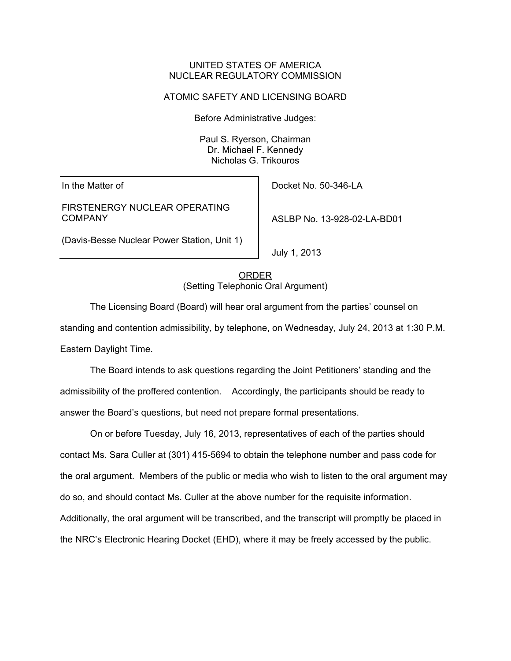## UNITED STATES OF AMERICA NUCLEAR REGULATORY COMMISSION

## ATOMIC SAFETY AND LICENSING BOARD

Before Administrative Judges:

Paul S. Ryerson, Chairman Dr. Michael F. Kennedy Nicholas G. Trikouros

In the Matter of

FIRSTENERGY NUCLEAR OPERATING COMPANY

(Davis-Besse Nuclear Power Station, Unit 1)

Docket No. 50-346-LA

ASLBP No. 13-928-02-LA-BD01

July 1, 2013

ORDER (Setting Telephonic Oral Argument)

 The Licensing Board (Board) will hear oral argument from the parties' counsel on standing and contention admissibility, by telephone, on Wednesday, July 24, 2013 at 1:30 P.M. Eastern Daylight Time.

 The Board intends to ask questions regarding the Joint Petitioners' standing and the admissibility of the proffered contention. Accordingly, the participants should be ready to answer the Board's questions, but need not prepare formal presentations.

 On or before Tuesday, July 16, 2013, representatives of each of the parties should contact Ms. Sara Culler at (301) 415-5694 to obtain the telephone number and pass code for the oral argument. Members of the public or media who wish to listen to the oral argument may do so, and should contact Ms. Culler at the above number for the requisite information. Additionally, the oral argument will be transcribed, and the transcript will promptly be placed in the NRC's Electronic Hearing Docket (EHD), where it may be freely accessed by the public.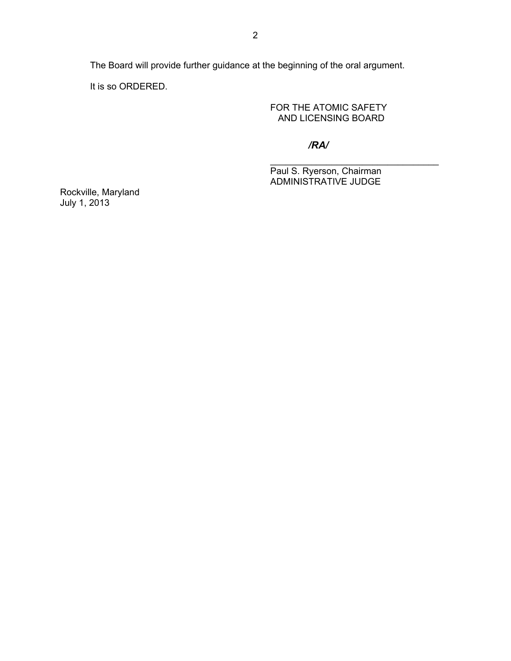The Board will provide further guidance at the beginning of the oral argument.

 $\overline{\phantom{a}}$  , and the contract of the contract of the contract of the contract of the contract of the contract of the contract of the contract of the contract of the contract of the contract of the contract of the contrac

It is so ORDERED.

 FOR THE ATOMIC SAFETY AND LICENSING BOARD

*/RA/*

Paul S. Ryerson, Chairman ADMINISTRATIVE JUDGE

Rockville, Maryland July 1, 2013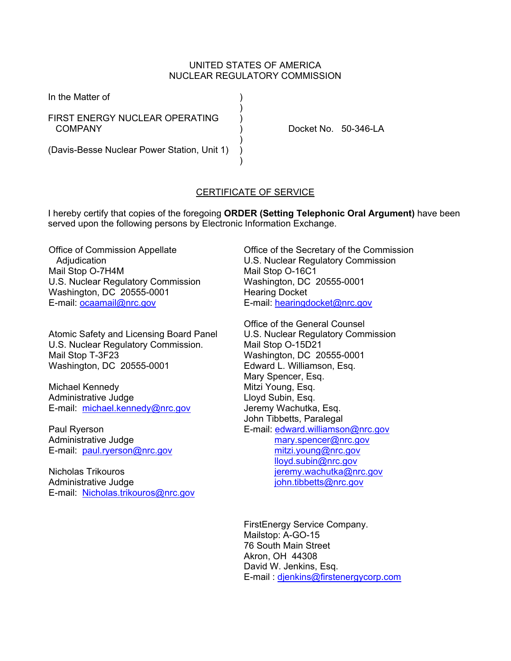## UNITED STATES OF AMERICA NUCLEAR REGULATORY COMMISSION

In the Matter of )

 $)$ FIRST ENERGY NUCLEAR OPERATING COMPANY ) Docket No. 50-346-LA

 $)$ (Davis-Besse Nuclear Power Station, Unit 1) )  $)$ 

## CERTIFICATE OF SERVICE

I hereby certify that copies of the foregoing **ORDER (Setting Telephonic Oral Argument)** have been served upon the following persons by Electronic Information Exchange.

Office of Commission Appellate **Adiudication** Mail Stop O-7H4M U.S. Nuclear Regulatory Commission Washington, DC 20555-0001 E-mail: ocaamail@nrc.gov

Atomic Safety and Licensing Board Panel U.S. Nuclear Regulatory Commission. Mail Stop T-3F23 Washington, DC 20555-0001

Michael Kennedy Administrative Judge E-mail: michael.kennedy@nrc.gov

Paul Ryerson Administrative Judge E-mail: paul.ryerson@nrc.gov

Nicholas Trikouros Administrative Judge E-mail: Nicholas.trikouros@nrc.gov Office of the Secretary of the Commission U.S. Nuclear Regulatory Commission Mail Stop O-16C1 Washington, DC 20555-0001 Hearing Docket E-mail: hearingdocket@nrc.gov

Office of the General Counsel U.S. Nuclear Regulatory Commission Mail Stop O-15D21 Washington, DC 20555-0001 Edward L. Williamson, Esq. Mary Spencer, Esq. Mitzi Young, Esq. Lloyd Subin, Esq. Jeremy Wachutka, Esq. John Tibbetts, Paralegal E-mail: edward.williamson@nrc.gov mary.spencer@nrc.gov mitzi.young@nrc.gov lloyd.subin@nrc.gov jeremy.wachutka@nrc.gov john.tibbetts@nrc.gov

FirstEnergy Service Company. Mailstop: A-GO-15 76 South Main Street Akron, OH 44308 David W. Jenkins, Esq. E-mail : djenkins@firstenergycorp.com